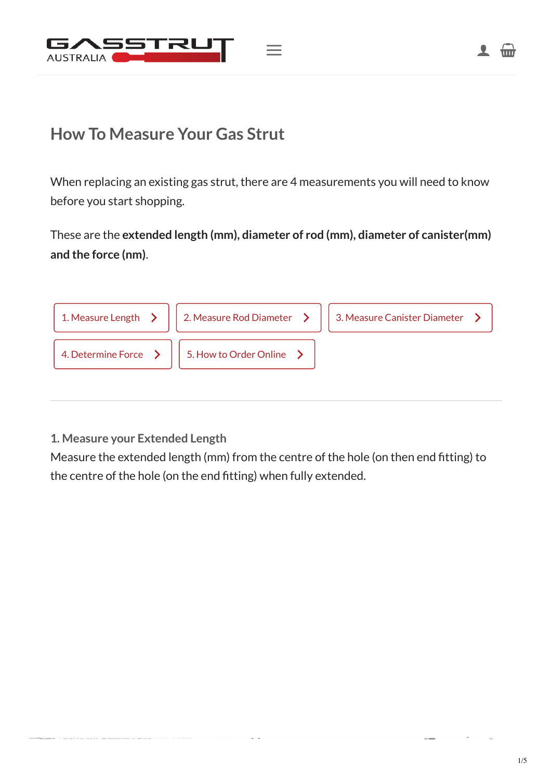

## **How To Measure Your Gas Strut**

When replacing an existing gas strut, there are 4 measurements you will need to know before you start shopping.

These are the **extended length (mm), diameter of rod (mm), diameter of canister(mm) and the force (nm)**.

| 1. Measure Length $\sum$ | 2. Measure Rod Diameter $\rightarrow$ | 3. Measure Canister Diameter |
|--------------------------|---------------------------------------|------------------------------|
| 4. Determine Force >     | 5. How to Order Online                |                              |
|                          |                                       |                              |

## <span id="page-0-0"></span>**1. Measure your Extended Length**

Measure the extended length (mm) from the centre of the hole (on then end fitting) to the centre of the hole (on the end fitting) when fully extended.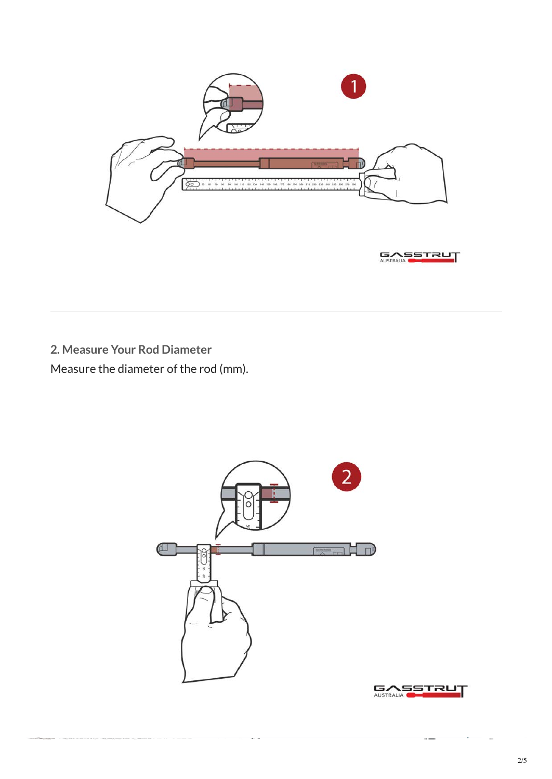

<span id="page-1-0"></span>**2. Measure Your Rod Diameter** Measure the diameter of the rod (mm).



<span id="page-1-1"></span> $\alpha$  .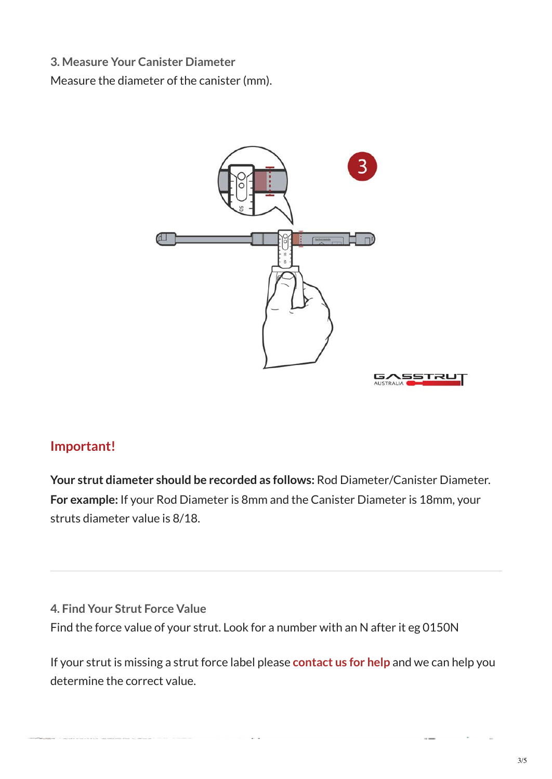**3. Measure Your Canister Diameter**

Measure the diameter of the canister (mm).



## **Important!**

**Your strut diameter should be recorded as follows:** Rod Diameter/Canister Diameter. **For example:** If your Rod Diameter is 8mm and the Canister Diameter is 18mm, your struts diameter value is 8/18.

<span id="page-2-0"></span>**4. Find Your Strut Force Value** Find the force value of your strut. Look for a number with an N after it eg 0150N

 $\alpha$  .  $\alpha$ 

If your strut is missing a strut force label please **[contact us for help](https://projects.htwrx.com.au/clients/gasstrutaustralia/contact-us/)** and we can help you determine the correct value.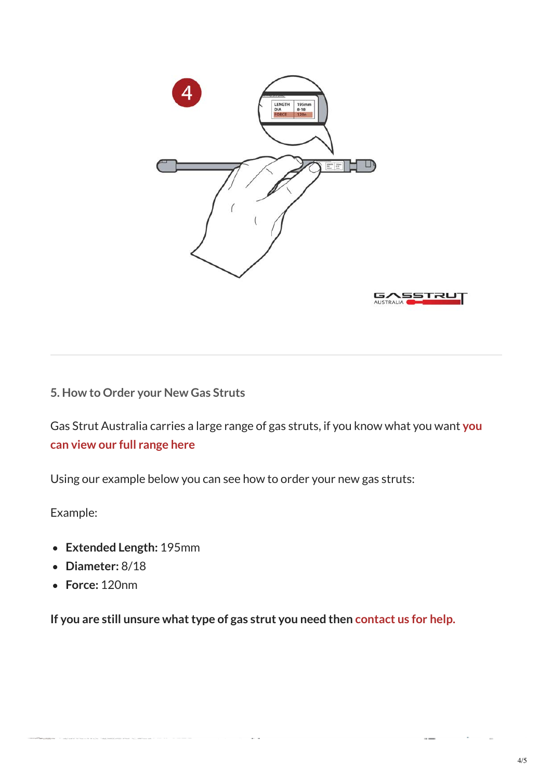

## <span id="page-3-0"></span>**5. How to Order your New Gas Struts**

[Gas Strut Australia carries a large range of gas struts, if you know what you want](https://projects.htwrx.com.au/clients/gasstrutaustralia/product-category/gas-struts/) **you can view our full range here**

Using our example below you can see how to order your new gas struts:

Example:

- **Extended Length:** 195mm
- **Diameter:** 8/18
- **Force:** 120nm

**If you are still unsure what type of gas strut you need then [contact us for help.](https://projects.htwrx.com.au/clients/gasstrutaustralia/contact-us/)**